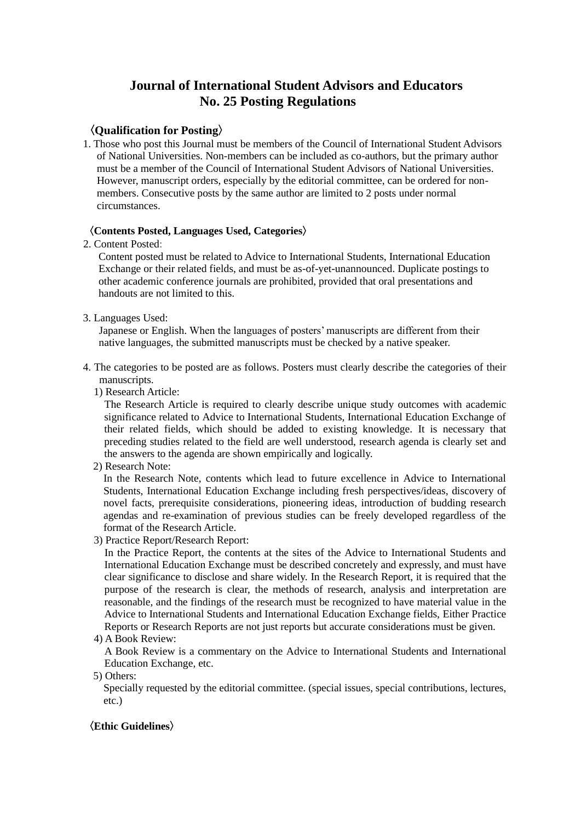## **Journal of International Student Advisors and Educators No. 25 Posting Regulations**

## 〈**Qualification for Posting**〉

1. Those who post this Journal must be members of the Council of International Student Advisors of National Universities. Non-members can be included as co-authors, but the primary author must be a member of the Council of International Student Advisors of National Universities. However, manuscript orders, especially by the editorial committee, can be ordered for nonmembers. Consecutive posts by the same author are limited to 2 posts under normal circumstances.

#### 〈**Contents Posted, Languages Used, Categories**〉

2. Content Posted:

Content posted must be related to Advice to International Students, International Education Exchange or their related fields, and must be as-of-yet-unannounced. Duplicate postings to other academic conference journals are prohibited, provided that oral presentations and handouts are not limited to this.

3. Languages Used:

 Japanese or English. When the languages of posters' manuscripts are different from their native languages, the submitted manuscripts must be checked by a native speaker.

- 4. The categories to be posted are as follows. Posters must clearly describe the categories of their manuscripts.
	- 1) Research Article:

 The Research Article is required to clearly describe unique study outcomes with academic significance related to Advice to International Students, International Education Exchange of their related fields, which should be added to existing knowledge. It is necessary that preceding studies related to the field are well understood, research agenda is clearly set and the answers to the agenda are shown empirically and logically.

2) Research Note:

In the Research Note, contents which lead to future excellence in Advice to International Students, International Education Exchange including fresh perspectives/ideas, discovery of novel facts, prerequisite considerations, pioneering ideas, introduction of budding research agendas and re-examination of previous studies can be freely developed regardless of the format of the Research Article.

3) Practice Report/Research Report:

 In the Practice Report, the contents at the sites of the Advice to International Students and International Education Exchange must be described concretely and expressly, and must have clear significance to disclose and share widely. In the Research Report, it is required that the purpose of the research is clear, the methods of research, analysis and interpretation are reasonable, and the findings of the research must be recognized to have material value in the Advice to International Students and International Education Exchange fields, Either Practice Reports or Research Reports are not just reports but accurate considerations must be given.

4) A Book Review:

 A Book Review is a commentary on the Advice to International Students and International Education Exchange, etc.

5) Others:

Specially requested by the editorial committee. (special issues, special contributions, lectures, etc.)

#### 〈**Ethic Guidelines**〉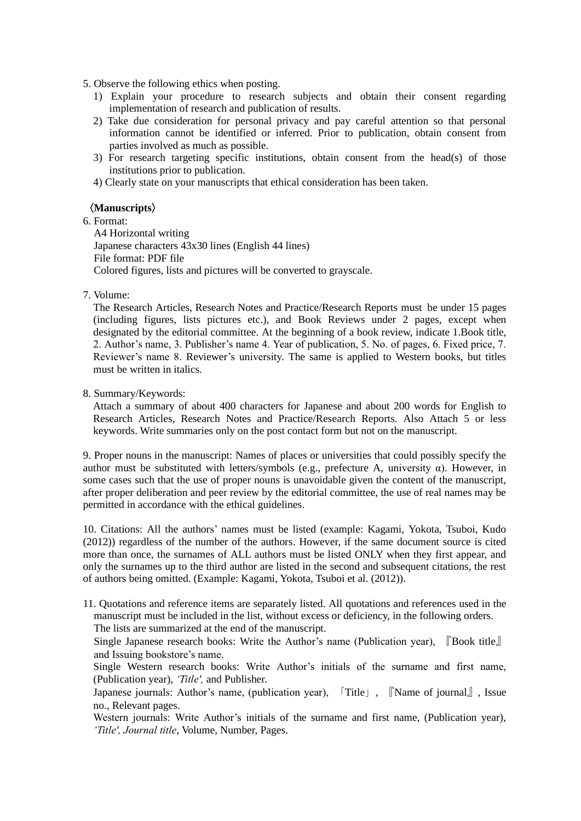- 5. Observe the following ethics when posting.
	- 1) Explain your procedure to research subjects and obtain their consent regarding implementation of research and publication of results.
	- 2) Take due consideration for personal privacy and pay careful attention so that personal information cannot be identified or inferred. Prior to publication, obtain consent from parties involved as much as possible.
	- 3) For research targeting specific institutions, obtain consent from the head(s) of those institutions prior to publication.
	- 4) Clearly state on your manuscripts that ethical consideration has been taken.

#### 〈**Manuscripts**〉

## 6. Format:

A4 Horizontal writing Japanese characters 43x30 lines (English 44 lines) File format: PDF file Colored figures, lists and pictures will be converted to grayscale.

7. Volume:

The Research Articles, Research Notes and Practice/Research Reports must be under 15 pages (including figures, lists pictures etc.), and Book Reviews under 2 pages, except when designated by the editorial committee. At the beginning of a book review, indicate 1.Book title, 2. Author's name, 3. Publisher's name 4. Year of publication, 5. No. of pages, 6. Fixed price, 7. Reviewer's name 8. Reviewer's university. The same is applied to Western books, but titles must be written in italics.

#### 8. Summary/Keywords:

Attach a summary of about 400 characters for Japanese and about 200 words for English to Research Articles, Research Notes and Practice/Research Reports. Also Attach 5 or less keywords. Write summaries only on the post contact form but not on the manuscript.

9. Proper nouns in the manuscript: Names of places or universities that could possibly specify the author must be substituted with letters/symbols (e.g., prefecture A, university  $\alpha$ ). However, in some cases such that the use of proper nouns is unavoidable given the content of the manuscript, after proper deliberation and peer review by the editorial committee, the use of real names may be permitted in accordance with the ethical guidelines.

10. Citations: All the authors' names must be listed (example: Kagami, Yokota, Tsuboi, Kudo (2012)) regardless of the number of the authors. However, if the same document source is cited more than once, the surnames of ALL authors must be listed ONLY when they first appear, and only the surnames up to the third author are listed in the second and subsequent citations, the rest of authors being omitted. (Example: Kagami, Yokota, Tsuboi et al. (2012)).

11. Quotations and reference items are separately listed. All quotations and references used in the manuscript must be included in the list, without excess or deficiency, in the following orders. The lists are summarized at the end of the manuscript.

Single Japanese research books: Write the Author's name (Publication year), 『Book title』 and Issuing bookstore's name.

Single Western research books: Write Author's initials of the surname and first name, (Publication year), *'Title',* and Publisher.

Japanese journals: Author's name, (publication year), 「Title」, 『Name of journal』, Issue no., Relevant pages.

Western journals: Write Author's initials of the surname and first name, (Publication year), *'Title', Journal title*, Volume, Number, Pages.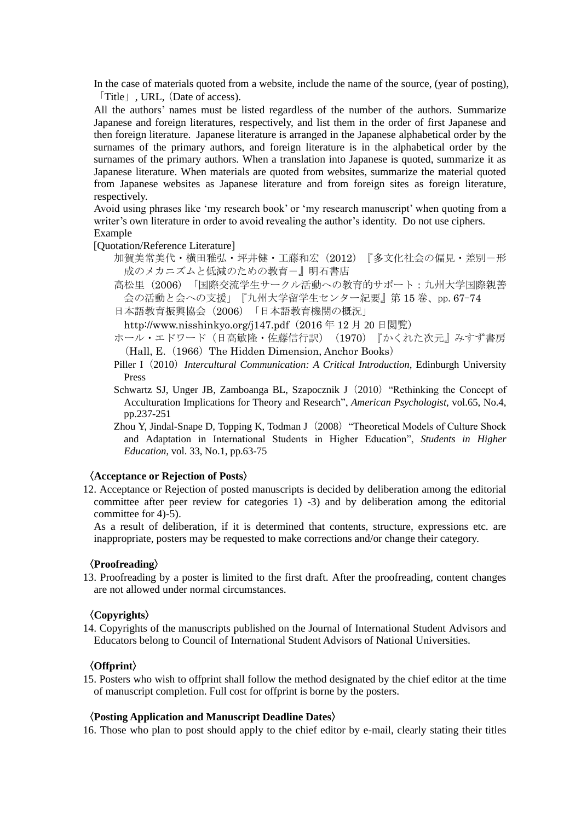In the case of materials quoted from a website, include the name of the source, (year of posting), 「Title」, URL, (Date of access).

All the authors' names must be listed regardless of the number of the authors. Summarize Japanese and foreign literatures, respectively, and list them in the order of first Japanese and then foreign literature. Japanese literature is arranged in the Japanese alphabetical order by the surnames of the primary authors, and foreign literature is in the alphabetical order by the surnames of the primary authors. When a translation into Japanese is quoted, summarize it as Japanese literature. When materials are quoted from websites, summarize the material quoted from Japanese websites as Japanese literature and from foreign sites as foreign literature, respectively.

 Avoid using phrases like 'my research book' or 'my research manuscript' when quoting from a writer's own literature in order to avoid revealing the author's identity. Do not use ciphers. Example

[Quotation/Reference Literature]

- 加賀美常美代·横田雅弘·坪井健·工藤和宏(2012)『多文化社会の偏見·差別-形 成のメカニズムと低減のための教育-』明石書店
- 高松里(2006)「国際交流学生サークル活動への教育的サポート:九州大学国際親善 会の活動と会への支援」『九州大学留学生センター紀要』第 15 巻、pp.67-74

日本語教育振興協会(2006)「日本語教育機関の概況」

http://www.nisshinkyo.org/j147.pdf (2016年 12月 20 日閲覧)

- ホール・エドワード(日高敏隆・佐藤信行訳) (1970)『かくれた次元』みすず書房 (Hall, E. (1966) The Hidden Dimension, Anchor Books)
- Piller I(2010)*Intercultural Communication: A Critical Introduction*, Edinburgh University Press
- Schwartz SJ, Unger JB, Zamboanga BL, Szapocznik J (2010) "Rethinking the Concept of Acculturation Implications for Theory and Research", *American Psychologist*, vol.65, No.4, pp.237-251
- Zhou Y, Jindal-Snape D, Topping K, Todman J (2008) "Theoretical Models of Culture Shock and Adaptation in International Students in Higher Education", *Students in Higher Education*, vol. 33, No.1, pp.63-75

### 〈**Acceptance or Rejection of Posts**〉

12. Acceptance or Rejection of posted manuscripts is decided by deliberation among the editorial committee after peer review for categories 1) -3) and by deliberation among the editorial committee for 4)-5).

 As a result of deliberation, if it is determined that contents, structure, expressions etc. are inappropriate, posters may be requested to make corrections and/or change their category.

#### 〈**Proofreading**〉

13. Proofreading by a poster is limited to the first draft. After the proofreading, content changes are not allowed under normal circumstances.

#### 〈**Copyrights**〉

14. Copyrights of the manuscripts published on the Journal of International Student Advisors and Educators belong to Council of International Student Advisors of National Universities.

### 〈**Offprint**〉

15. Posters who wish to offprint shall follow the method designated by the chief editor at the time of manuscript completion. Full cost for offprint is borne by the posters.

#### 〈**Posting Application and Manuscript Deadline Dates**〉

16. Those who plan to post should apply to the chief editor by e-mail, clearly stating their titles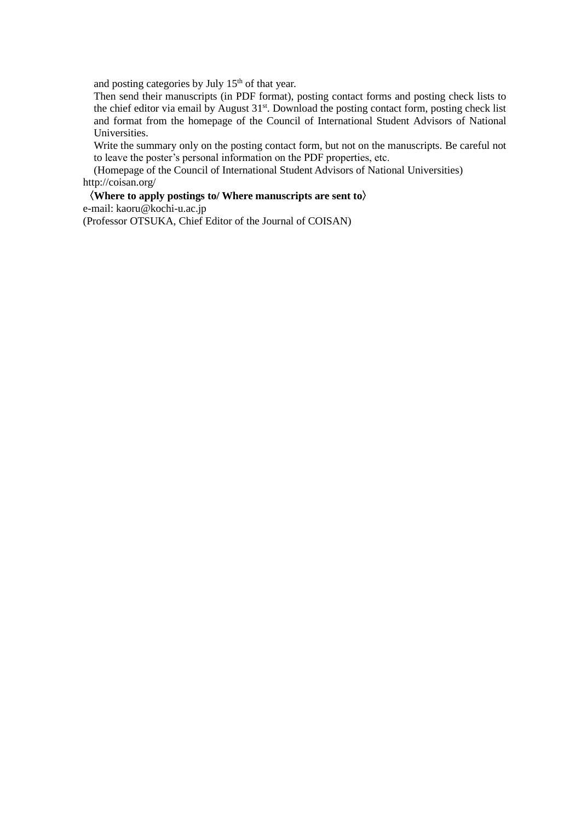and posting categories by July  $15<sup>th</sup>$  of that year.

Then send their manuscripts (in PDF format), posting contact forms and posting check lists to the chief editor via email by August 31<sup>st</sup>. Download the posting contact form, posting check list and format from the homepage of the Council of International Student Advisors of National Universities.

 Write the summary only on the posting contact form, but not on the manuscripts. Be careful not to leave the poster's personal information on the PDF properties, etc.

 (Homepage of the Council of International Student Advisors of National Universities) http://coisan.org/

〈**Where to apply postings to/ Where manuscripts are sent to**〉 e-mail: kaoru@kochi-u.ac.jp (Professor OTSUKA, Chief Editor of the Journal of COISAN)